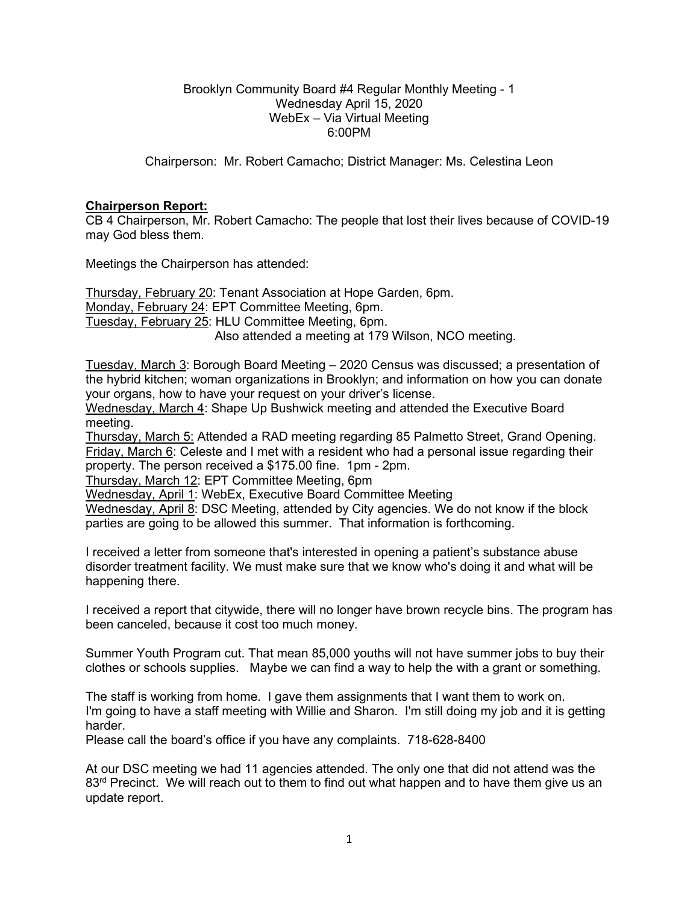#### Brooklyn Community Board #4 Regular Monthly Meeting - 1 Wednesday April 15, 2020 WebEx – Via Virtual Meeting 6:00PM

Chairperson: Mr. Robert Camacho; District Manager: Ms. Celestina Leon

### **Chairperson Report:**

CB 4 Chairperson, Mr. Robert Camacho: The people that lost their lives because of COVID-19 may God bless them.

Meetings the Chairperson has attended:

Thursday, February 20: Tenant Association at Hope Garden, 6pm. Monday, February 24: EPT Committee Meeting, 6pm. Tuesday, February 25: HLU Committee Meeting, 6pm. Also attended a meeting at 179 Wilson, NCO meeting.

Tuesday, March 3: Borough Board Meeting – 2020 Census was discussed; a presentation of the hybrid kitchen; woman organizations in Brooklyn; and information on how you can donate your organs, how to have your request on your driver's license.

Wednesday, March 4: Shape Up Bushwick meeting and attended the Executive Board meeting.

Thursday, March 5: Attended a RAD meeting regarding 85 Palmetto Street, Grand Opening. Friday, March 6: Celeste and I met with a resident who had a personal issue regarding their property. The person received a \$175.00 fine. 1pm - 2pm.

Thursday, March 12: EPT Committee Meeting, 6pm

Wednesday, April 1: WebEx, Executive Board Committee Meeting

Wednesday, April 8: DSC Meeting, attended by City agencies. We do not know if the block parties are going to be allowed this summer. That information is forthcoming.

I received a letter from someone that's interested in opening a patient's substance abuse disorder treatment facility. We must make sure that we know who's doing it and what will be happening there.

I received a report that citywide, there will no longer have brown recycle bins. The program has been canceled, because it cost too much money.

Summer Youth Program cut. That mean 85,000 youths will not have summer jobs to buy their clothes or schools supplies. Maybe we can find a way to help the with a grant or something.

The staff is working from home. I gave them assignments that I want them to work on. I'm going to have a staff meeting with Willie and Sharon. I'm still doing my job and it is getting harder.

Please call the board's office if you have any complaints. 718-628-8400

At our DSC meeting we had 11 agencies attended. The only one that did not attend was the  $83<sup>rd</sup>$  Precinct. We will reach out to them to find out what happen and to have them give us an update report.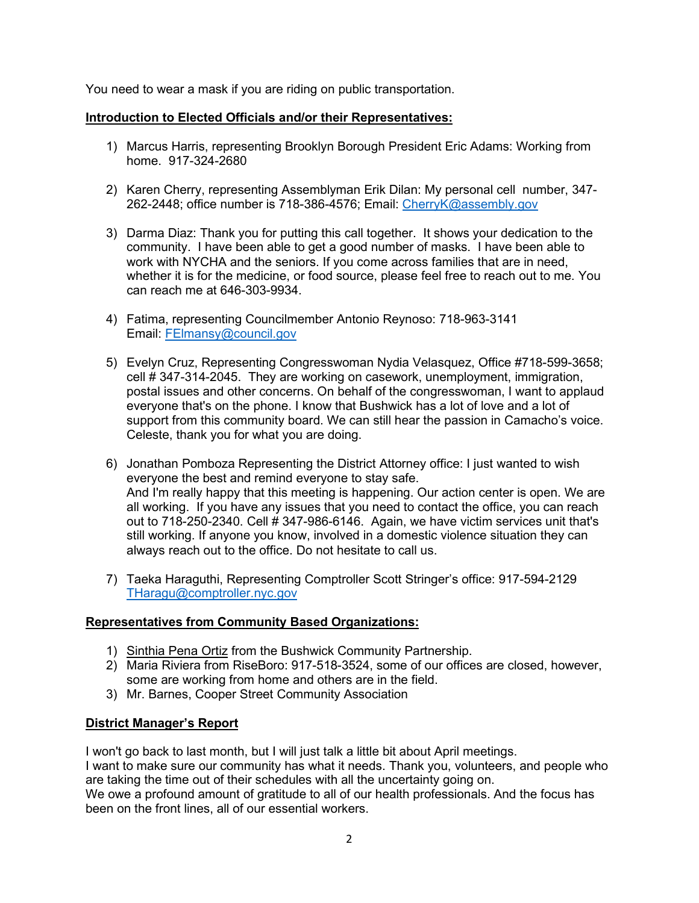You need to wear a mask if you are riding on public transportation.

## **Introduction to Elected Officials and/or their Representatives:**

- 1) Marcus Harris, representing Brooklyn Borough President Eric Adams: Working from home. 917-324-2680
- 2) Karen Cherry, representing Assemblyman Erik Dilan: My personal cell number, 347- 262-2448; office number is 718-386-4576; Email: [CherryK@assembly.gov](mailto:CherryK@assembly.gov)
- 3) Darma Diaz: Thank you for putting this call together. It shows your dedication to the community. I have been able to get a good number of masks. I have been able to work with NYCHA and the seniors. If you come across families that are in need, whether it is for the medicine, or food source, please feel free to reach out to me. You can reach me at 646-303-9934.
- 4) Fatima, representing Councilmember Antonio Reynoso: 718-963-3141 Email: [FElmansy@council.gov](mailto:FElmansy@council.gov)
- 5) Evelyn Cruz, Representing Congresswoman Nydia Velasquez, Office #718-599-3658; cell # 347-314-2045. They are working on casework, unemployment, immigration, postal issues and other concerns. On behalf of the congresswoman, I want to applaud everyone that's on the phone. I know that Bushwick has a lot of love and a lot of support from this community board. We can still hear the passion in Camacho's voice. Celeste, thank you for what you are doing.
- 6) Jonathan Pomboza Representing the District Attorney office: I just wanted to wish everyone the best and remind everyone to stay safe. And I'm really happy that this meeting is happening. Our action center is open. We are all working. If you have any issues that you need to contact the office, you can reach out to  $718-250-2340$ . Cell  $\#$  347-986-6146. Again, we have victim services unit that's still working. If anyone you know, involved in a domestic violence situation they can always reach out to the office. Do not hesitate to call us.
- 7) Taeka Haraguthi, Representing Comptroller Scott Stringer's office: 917-594-2129 [THaragu@comptroller.nyc.gov](mailto:THaragu@comptroller.nyc.gov)

### **Representatives from Community Based Organizations:**

- 1) Sinthia Pena Ortiz from the Bushwick Community Partnership.
- 2) Maria Riviera from RiseBoro: 917-518-3524, some of our offices are closed, however, some are working from home and others are in the field.
- 3) Mr. Barnes, Cooper Street Community Association

# **District Manager's Report**

I won't go back to last month, but I will just talk a little bit about April meetings. I want to make sure our community has what it needs. Thank you, volunteers, and people who are taking the time out of their schedules with all the uncertainty going on. We owe a profound amount of gratitude to all of our health professionals. And the focus has been on the front lines, all of our essential workers.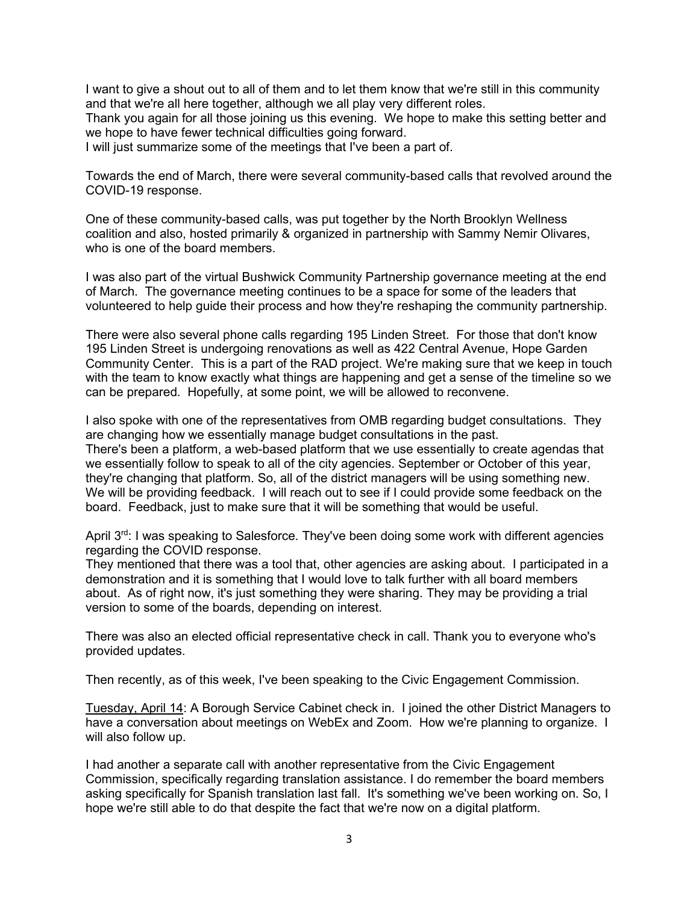I want to give a shout out to all of them and to let them know that we're still in this community and that we're all here together, although we all play very different roles.

Thank you again for all those joining us this evening. We hope to make this setting better and we hope to have fewer technical difficulties going forward.

I will just summarize some of the meetings that I've been a part of.

Towards the end of March, there were several community-based calls that revolved around the COVID-19 response.

One of these community-based calls, was put together by the North Brooklyn Wellness coalition and also, hosted primarily & organized in partnership with Sammy Nemir Olivares, who is one of the board members.

I was also part of the virtual Bushwick Community Partnership governance meeting at the end of March. The governance meeting continues to be a space for some of the leaders that volunteered to help guide their process and how they're reshaping the community partnership.

There were also several phone calls regarding 195 Linden Street. For those that don't know 195 Linden Street is undergoing renovations as well as 422 Central Avenue, Hope Garden Community Center. This is a part of the RAD project. We're making sure that we keep in touch with the team to know exactly what things are happening and get a sense of the timeline so we can be prepared. Hopefully, at some point, we will be allowed to reconvene.

I also spoke with one of the representatives from OMB regarding budget consultations. They are changing how we essentially manage budget consultations in the past. There's been a platform, a web-based platform that we use essentially to create agendas that we essentially follow to speak to all of the city agencies. September or October of this year, they're changing that platform. So, all of the district managers will be using something new. We will be providing feedback. I will reach out to see if I could provide some feedback on the board. Feedback, just to make sure that it will be something that would be useful.

April 3<sup>rd</sup>: I was speaking to Salesforce. They've been doing some work with different agencies regarding the COVID response.

They mentioned that there was a tool that, other agencies are asking about. I participated in a demonstration and it is something that I would love to talk further with all board members about. As of right now, it's just something they were sharing. They may be providing a trial version to some of the boards, depending on interest.

There was also an elected official representative check in call. Thank you to everyone who's provided updates.

Then recently, as of this week, I've been speaking to the Civic Engagement Commission.

Tuesday, April 14: A Borough Service Cabinet check in. I joined the other District Managers to have a conversation about meetings on WebEx and Zoom. How we're planning to organize. I will also follow up.

I had another a separate call with another representative from the Civic Engagement Commission, specifically regarding translation assistance. I do remember the board members asking specifically for Spanish translation last fall. It's something we've been working on. So, I hope we're still able to do that despite the fact that we're now on a digital platform.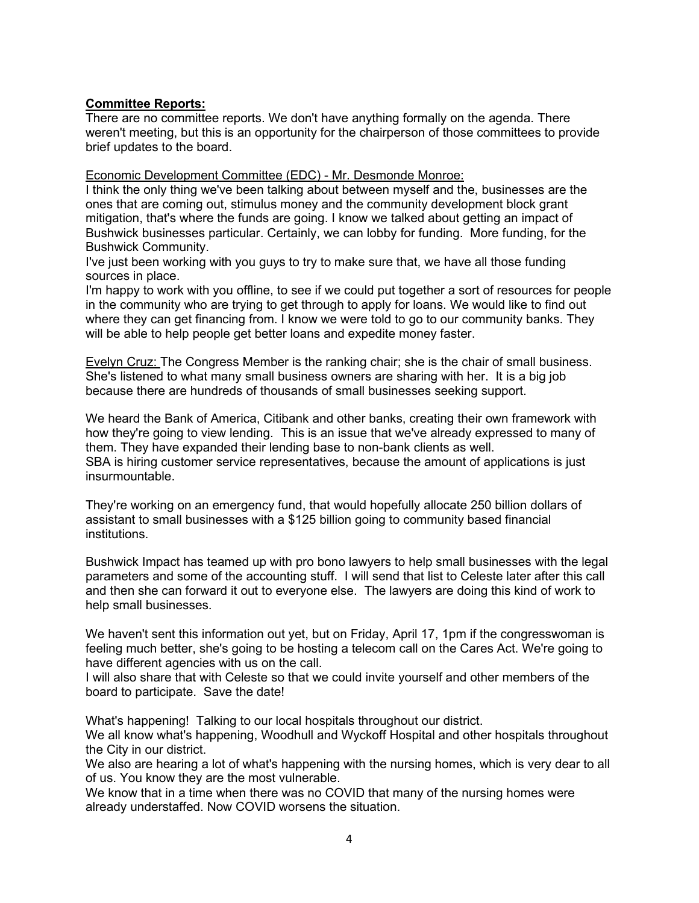### **Committee Reports:**

There are no committee reports. We don't have anything formally on the agenda. There weren't meeting, but this is an opportunity for the chairperson of those committees to provide brief updates to the board.

Economic Development Committee (EDC) - Mr. Desmonde Monroe:

I think the only thing we've been talking about between myself and the, businesses are the ones that are coming out, stimulus money and the community development block grant mitigation, that's where the funds are going. I know we talked about getting an impact of Bushwick businesses particular. Certainly, we can lobby for funding. More funding, for the Bushwick Community.

I've just been working with you guys to try to make sure that, we have all those funding sources in place.

I'm happy to work with you offline, to see if we could put together a sort of resources for people in the community who are trying to get through to apply for loans. We would like to find out where they can get financing from. I know we were told to go to our community banks. They will be able to help people get better loans and expedite money faster.

Evelyn Cruz: The Congress Member is the ranking chair; she is the chair of small business. She's listened to what many small business owners are sharing with her. It is a big job because there are hundreds of thousands of small businesses seeking support.

We heard the Bank of America, Citibank and other banks, creating their own framework with how they're going to view lending. This is an issue that we've already expressed to many of them. They have expanded their lending base to non-bank clients as well. SBA is hiring customer service representatives, because the amount of applications is just insurmountable.

They're working on an emergency fund, that would hopefully allocate 250 billion dollars of assistant to small businesses with a \$125 billion going to community based financial institutions.

Bushwick Impact has teamed up with pro bono lawyers to help small businesses with the legal parameters and some of the accounting stuff. I will send that list to Celeste later after this call and then she can forward it out to everyone else. The lawyers are doing this kind of work to help small businesses.

We haven't sent this information out yet, but on Friday, April 17, 1pm if the congresswoman is feeling much better, she's going to be hosting a telecom call on the Cares Act. We're going to have different agencies with us on the call.

I will also share that with Celeste so that we could invite yourself and other members of the board to participate. Save the date!

What's happening! Talking to our local hospitals throughout our district.

We all know what's happening, Woodhull and Wyckoff Hospital and other hospitals throughout the City in our district.

We also are hearing a lot of what's happening with the nursing homes, which is very dear to all of us. You know they are the most vulnerable.

We know that in a time when there was no COVID that many of the nursing homes were already understaffed. Now COVID worsens the situation.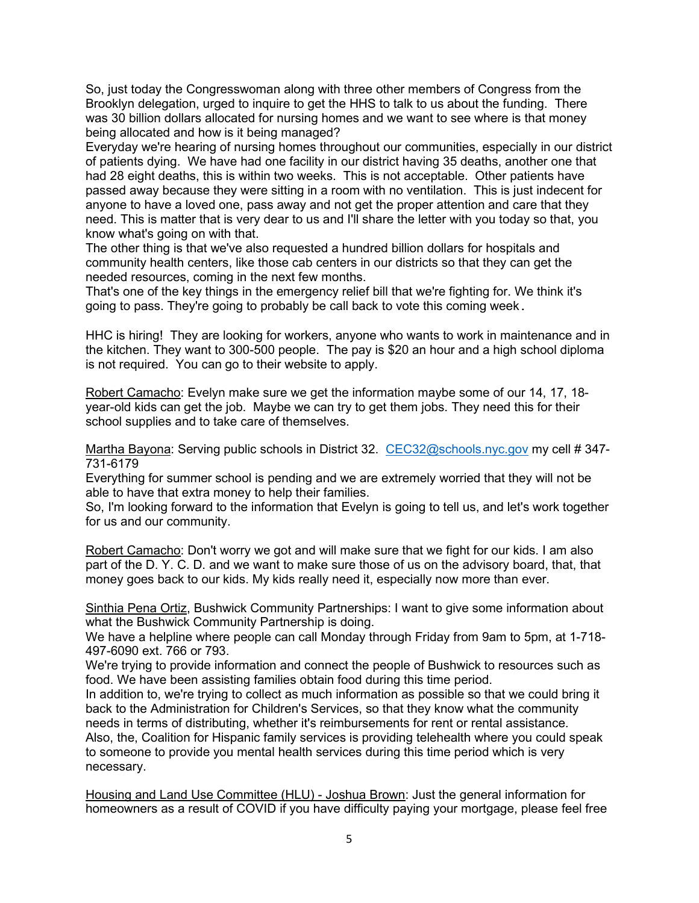So, just today the Congresswoman along with three other members of Congress from the Brooklyn delegation, urged to inquire to get the HHS to talk to us about the funding. There was 30 billion dollars allocated for nursing homes and we want to see where is that money being allocated and how is it being managed?

Everyday we're hearing of nursing homes throughout our communities, especially in our district of patients dying. We have had one facility in our district having 35 deaths, another one that had 28 eight deaths, this is within two weeks. This is not acceptable. Other patients have passed away because they were sitting in a room with no ventilation. This is just indecent for anyone to have a loved one, pass away and not get the proper attention and care that they need. This is matter that is very dear to us and I'll share the letter with you today so that, you know what's going on with that.

The other thing is that we've also requested a hundred billion dollars for hospitals and community health centers, like those cab centers in our districts so that they can get the needed resources, coming in the next few months.

That's one of the key things in the emergency relief bill that we're fighting for. We think it's going to pass. They're going to probably be call back to vote this coming week.

HHC is hiring! They are looking for workers, anyone who wants to work in maintenance and in the kitchen. They want to 300-500 people. The pay is \$20 an hour and a high school diploma is not required. You can go to their website to apply.

Robert Camacho: Evelyn make sure we get the information maybe some of our 14, 17, 18 year-old kids can get the job. Maybe we can try to get them jobs. They need this for their school supplies and to take care of themselves.

Martha Bayona: Serving public schools in District 32. [CEC32@schools.nyc.gov](mailto:CEC32@schools.nyc.gov) my cell # 347-731-6179

Everything for summer school is pending and we are extremely worried that they will not be able to have that extra money to help their families.

So, I'm looking forward to the information that Evelyn is going to tell us, and let's work together for us and our community.

Robert Camacho: Don't worry we got and will make sure that we fight for our kids. I am also part of the D. Y. C. D. and we want to make sure those of us on the advisory board, that, that money goes back to our kids. My kids really need it, especially now more than ever.

Sinthia Pena Ortiz, Bushwick Community Partnerships: I want to give some information about what the Bushwick Community Partnership is doing.

We have a helpline where people can call Monday through Friday from 9am to 5pm, at 1-718- 497-6090 ext. 766 or 793.

We're trying to provide information and connect the people of Bushwick to resources such as food. We have been assisting families obtain food during this time period.

In addition to, we're trying to collect as much information as possible so that we could bring it back to the Administration for Children's Services, so that they know what the community needs in terms of distributing, whether it's reimbursements for rent or rental assistance.

Also, the, Coalition for Hispanic family services is providing telehealth where you could speak to someone to provide you mental health services during this time period which is very necessary.

Housing and Land Use Committee (HLU) - Joshua Brown: Just the general information for homeowners as a result of COVID if you have difficulty paying your mortgage, please feel free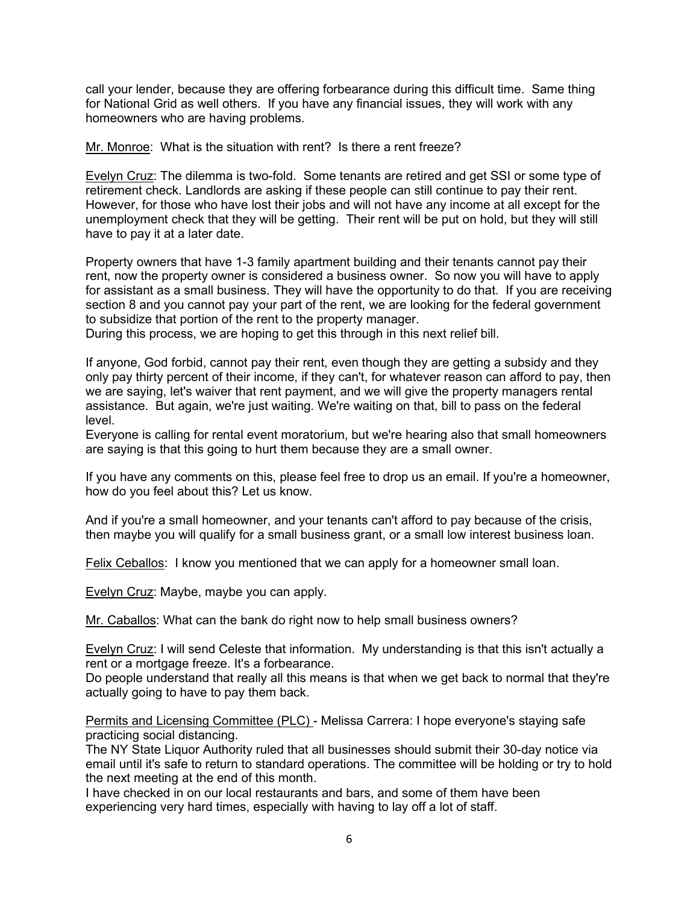call your lender, because they are offering forbearance during this difficult time. Same thing for National Grid as well others. If you have any financial issues, they will work with any homeowners who are having problems.

Mr. Monroe: What is the situation with rent? Is there a rent freeze?

Evelyn Cruz: The dilemma is two-fold. Some tenants are retired and get SSI or some type of retirement check. Landlords are asking if these people can still continue to pay their rent. However, for those who have lost their jobs and will not have any income at all except for the unemployment check that they will be getting. Their rent will be put on hold, but they will still have to pay it at a later date.

Property owners that have 1-3 family apartment building and their tenants cannot pay their rent, now the property owner is considered a business owner. So now you will have to apply for assistant as a small business. They will have the opportunity to do that. If you are receiving section 8 and you cannot pay your part of the rent, we are looking for the federal government to subsidize that portion of the rent to the property manager.

During this process, we are hoping to get this through in this next relief bill.

If anyone, God forbid, cannot pay their rent, even though they are getting a subsidy and they only pay thirty percent of their income, if they can't, for whatever reason can afford to pay, then we are saying, let's waiver that rent payment, and we will give the property managers rental assistance. But again, we're just waiting. We're waiting on that, bill to pass on the federal level.

Everyone is calling for rental event moratorium, but we're hearing also that small homeowners are saying is that this going to hurt them because they are a small owner.

If you have any comments on this, please feel free to drop us an email. If you're a homeowner, how do you feel about this? Let us know.

And if you're a small homeowner, and your tenants can't afford to pay because of the crisis, then maybe you will qualify for a small business grant, or a small low interest business loan.

Felix Ceballos: I know you mentioned that we can apply for a homeowner small loan.

Evelyn Cruz: Maybe, maybe you can apply.

Mr. Caballos: What can the bank do right now to help small business owners?

Evelyn Cruz: I will send Celeste that information. My understanding is that this isn't actually a rent or a mortgage freeze. It's a forbearance.

Do people understand that really all this means is that when we get back to normal that they're actually going to have to pay them back.

Permits and Licensing Committee (PLC) - Melissa Carrera: I hope everyone's staying safe practicing social distancing.

The NY State Liquor Authority ruled that all businesses should submit their 30-day notice via email until it's safe to return to standard operations. The committee will be holding or try to hold the next meeting at the end of this month.

I have checked in on our local restaurants and bars, and some of them have been experiencing very hard times, especially with having to lay off a lot of staff.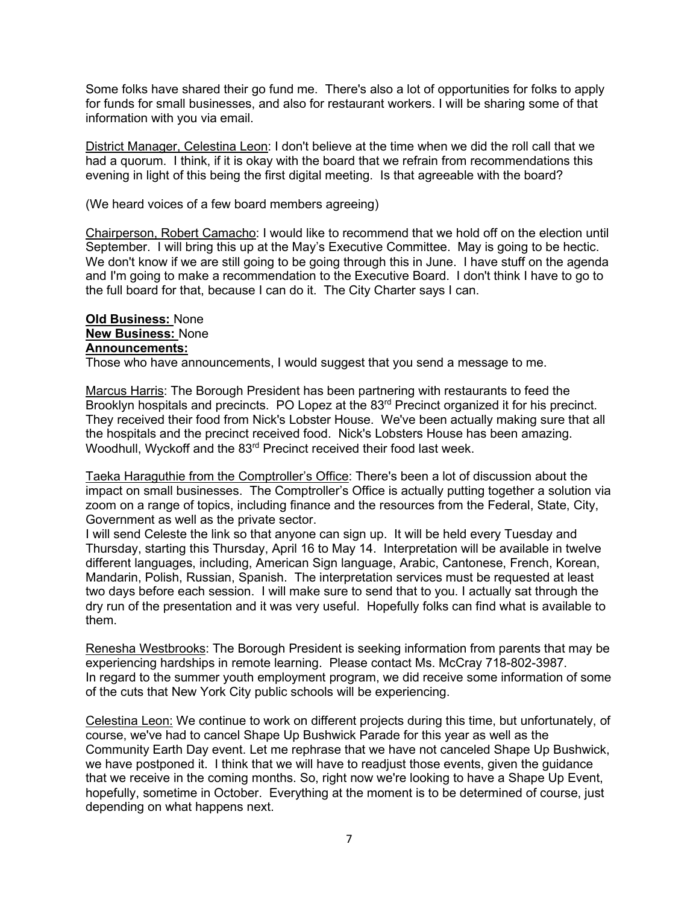Some folks have shared their go fund me. There's also a lot of opportunities for folks to apply for funds for small businesses, and also for restaurant workers. I will be sharing some of that information with you via email.

District Manager, Celestina Leon: I don't believe at the time when we did the roll call that we had a quorum. I think, if it is okay with the board that we refrain from recommendations this evening in light of this being the first digital meeting. Is that agreeable with the board?

(We heard voices of a few board members agreeing)

Chairperson, Robert Camacho: I would like to recommend that we hold off on the election until September. I will bring this up at the May's Executive Committee. May is going to be hectic. We don't know if we are still going to be going through this in June. I have stuff on the agenda and I'm going to make a recommendation to the Executive Board. I don't think I have to go to the full board for that, because I can do it. The City Charter says I can.

## **Old Business:** None **New Business:** None **Announcements:**

Those who have announcements, I would suggest that you send a message to me.

Marcus Harris: The Borough President has been partnering with restaurants to feed the Brooklyn hospitals and precincts. PO Lopez at the 83<sup>rd</sup> Precinct organized it for his precinct. They received their food from Nick's Lobster House. We've been actually making sure that all the hospitals and the precinct received food. Nick's Lobsters House has been amazing. Woodhull, Wyckoff and the 83<sup>rd</sup> Precinct received their food last week.

Taeka Haraguthie from the Comptroller's Office: There's been a lot of discussion about the impact on small businesses. The Comptroller's Office is actually putting together a solution via zoom on a range of topics, including finance and the resources from the Federal, State, City, Government as well as the private sector.

I will send Celeste the link so that anyone can sign up. It will be held every Tuesday and Thursday, starting this Thursday, April 16 to May 14. Interpretation will be available in twelve different languages, including, American Sign language, Arabic, Cantonese, French, Korean, Mandarin, Polish, Russian, Spanish. The interpretation services must be requested at least two days before each session. I will make sure to send that to you. I actually sat through the dry run of the presentation and it was very useful. Hopefully folks can find what is available to them.

Renesha Westbrooks: The Borough President is seeking information from parents that may be experiencing hardships in remote learning. Please contact Ms. McCray 718-802-3987. In regard to the summer youth employment program, we did receive some information of some of the cuts that New York City public schools will be experiencing.

Celestina Leon: We continue to work on different projects during this time, but unfortunately, of course, we've had to cancel Shape Up Bushwick Parade for this year as well as the Community Earth Day event. Let me rephrase that we have not canceled Shape Up Bushwick, we have postponed it. I think that we will have to readjust those events, given the guidance that we receive in the coming months. So, right now we're looking to have a Shape Up Event, hopefully, sometime in October. Everything at the moment is to be determined of course, just depending on what happens next.